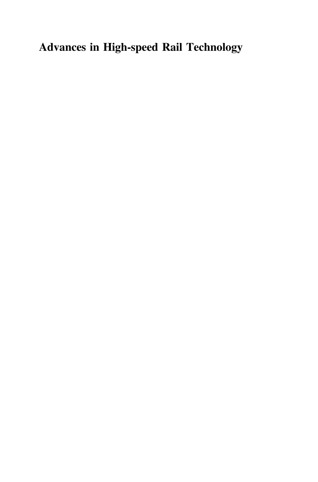# Advances in High-speed Rail Technology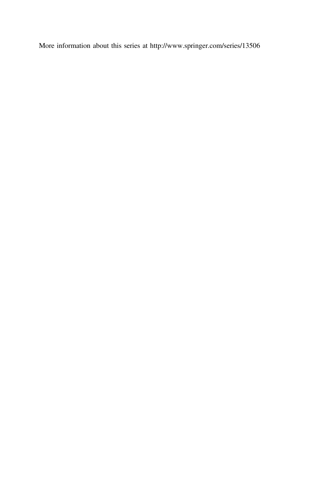More information about this series at http://www.springer.com/series/13506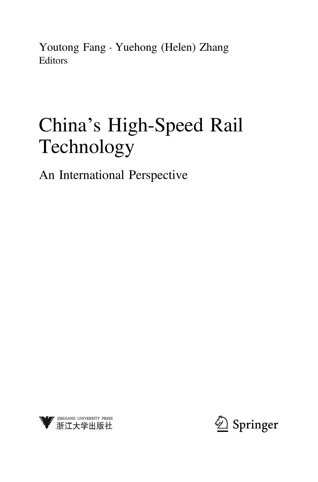Youtong Fang • Yuehong (Helen) Zhang **Editors** 

# China's High-Speed Rail Technology

An International Perspective



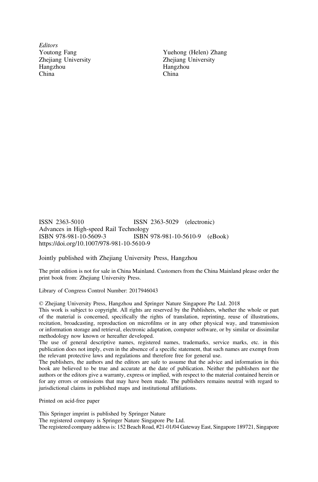**Editors** Youtong Fang Zhejiang University Hangzhou China

Yuehong (Helen) Zhang Zhejiang University Hangzhou China

ISSN 2363-5010 ISSN 2363-5029 (electronic) Advances in High-speed Rail Technology<br>ISBN 978-981-10-5609-3 ISBN ISBN 978-981-10-5610-9 (eBook) https://doi.org/10.1007/978-981-10-5610-9

Jointly published with Zhejiang University Press, Hangzhou

The print edition is not for sale in China Mainland. Customers from the China Mainland please order the print book from: Zhejiang University Press.

Library of Congress Control Number: 2017946043

© Zhejiang University Press, Hangzhou and Springer Nature Singapore Pte Ltd. 2018

This work is subject to copyright. All rights are reserved by the Publishers, whether the whole or part of the material is concerned, specifically the rights of translation, reprinting, reuse of illustrations, recitation, broadcasting, reproduction on microfilms or in any other physical way, and transmission or information storage and retrieval, electronic adaptation, computer software, or by similar or dissimilar methodology now known or hereafter developed.

The use of general descriptive names, registered names, trademarks, service marks, etc. in this publication does not imply, even in the absence of a specific statement, that such names are exempt from the relevant protective laws and regulations and therefore free for general use.

The publishers, the authors and the editors are safe to assume that the advice and information in this book are believed to be true and accurate at the date of publication. Neither the publishers nor the authors or the editors give a warranty, express or implied, with respect to the material contained herein or for any errors or omissions that may have been made. The publishers remains neutral with regard to jurisdictional claims in published maps and institutional affiliations.

Printed on acid-free paper

This Springer imprint is published by Springer Nature The registered company is Springer Nature Singapore Pte Ltd. The registered company address is: 152 Beach Road, #21-01/04 Gateway East, Singapore 189721, Singapore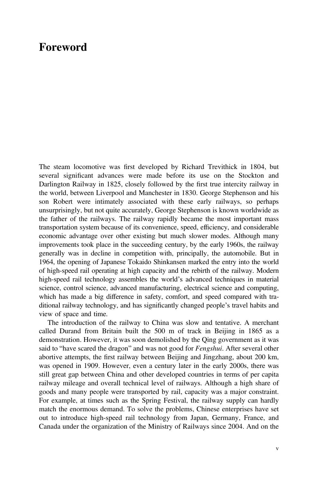#### Foreword

The steam locomotive was first developed by Richard Trevithick in 1804, but several significant advances were made before its use on the Stockton and Darlington Railway in 1825, closely followed by the first true intercity railway in the world, between Liverpool and Manchester in 1830. George Stephenson and his son Robert were intimately associated with these early railways, so perhaps unsurprisingly, but not quite accurately, George Stephenson is known worldwide as the father of the railways. The railway rapidly became the most important mass transportation system because of its convenience, speed, efficiency, and considerable economic advantage over other existing but much slower modes. Although many improvements took place in the succeeding century, by the early 1960s, the railway generally was in decline in competition with, principally, the automobile. But in 1964, the opening of Japanese Tokaido Shinkansen marked the entry into the world of high-speed rail operating at high capacity and the rebirth of the railway. Modern high-speed rail technology assembles the world's advanced techniques in material science, control science, advanced manufacturing, electrical science and computing, which has made a big difference in safety, comfort, and speed compared with traditional railway technology, and has significantly changed people's travel habits and view of space and time.

The introduction of the railway to China was slow and tentative. A merchant called Durand from Britain built the 500 m of track in Beijing in 1865 as a demonstration. However, it was soon demolished by the Qing government as it was said to "have scared the dragon" and was not good for *Fengshui*. After several other abortive attempts, the first railway between Beijing and Jingzhang, about 200 km, was opened in 1909. However, even a century later in the early 2000s, there was still great gap between China and other developed countries in terms of per capita railway mileage and overall technical level of railways. Although a high share of goods and many people were transported by rail, capacity was a major constraint. For example, at times such as the Spring Festival, the railway supply can hardly match the enormous demand. To solve the problems, Chinese enterprises have set out to introduce high-speed rail technology from Japan, Germany, France, and Canada under the organization of the Ministry of Railways since 2004. And on the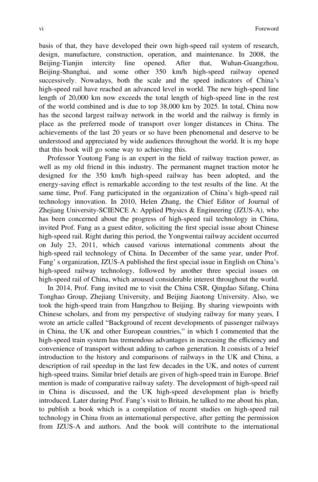basis of that, they have developed their own high-speed rail system of research, design, manufacture, construction, operation, and maintenance. In 2008, the Beijing-Tianjin intercity line opened. After that, Wuhan-Guangzhou, Beijing-Shanghai, and some other 350 km/h high-speed railway opened successively. Nowadays, both the scale and the speed indicators of China's high-speed rail have reached an advanced level in world. The new high-speed line length of 20,000 km now exceeds the total length of high-speed line in the rest of the world combined and is due to top 38,000 km by 2025. In total, China now has the second largest railway network in the world and the railway is firmly in place as the preferred mode of transport over longer distances in China. The achievements of the last 20 years or so have been phenomenal and deserve to be understood and appreciated by wide audiences throughout the world. It is my hope that this book will go some way to achieving this.

Professor Youtong Fang is an expert in the field of railway traction power, as well as my old friend in this industry. The permanent magnet traction motor he designed for the 350 km/h high-speed railway has been adopted, and the energy-saving effect is remarkable according to the test results of the line. At the same time, Prof. Fang participated in the organization of China's high-speed rail technology innovation. In 2010, Helen Zhang, the Chief Editor of Journal of Zhejiang University-SCIENCE A: Applied Physics & Engineering (JZUS-A), who has been concerned about the progress of high-speed rail technology in China, invited Prof. Fang as a guest editor, soliciting the first special issue about Chinese high-speed rail. Right during this period, the Yongwentai railway accident occurred on July 23, 2011, which caused various international comments about the high-speed rail technology of China. In December of the same year, under Prof. Fang' s organization, JZUS-A published the first special issue in English on China's high-speed railway technology, followed by another three special issues on high-speed rail of China, which aroused considerable interest throughout the world.

In 2014, Prof. Fang invited me to visit the China CSR, Qingdao Sifang, China Tonghao Group, Zhejiang University, and Beijing Jiaotong University. Also, we took the high-speed train from Hangzhou to Beijing. By sharing viewpoints with Chinese scholars, and from my perspective of studying railway for many years, I wrote an article called "Background of recent developments of passenger railways in China, the UK and other European countries," in which I commented that the high-speed train system has tremendous advantages in increasing the efficiency and convenience of transport without adding to carbon generation. It consists of a brief introduction to the history and comparisons of railways in the UK and China, a description of rail speedup in the last few decades in the UK, and notes of current high-speed trains. Similar brief details are given of high-speed train in Europe. Brief mention is made of comparative railway safety. The development of high-speed rail in China is discussed, and the UK high-speed development plan is briefly introduced. Later during Prof. Fang's visit to Britain, he talked to me about his plan, to publish a book which is a compilation of recent studies on high-speed rail technology in China from an international perspective, after getting the permission from JZUS-A and authors. And the book will contribute to the international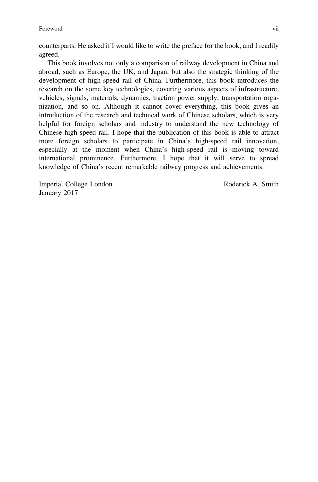counterparts. He asked if I would like to write the preface for the book, and I readily agreed.

This book involves not only a comparison of railway development in China and abroad, such as Europe, the UK, and Japan, but also the strategic thinking of the development of high-speed rail of China. Furthermore, this book introduces the research on the some key technologies, covering various aspects of infrastructure, vehicles, signals, materials, dynamics, traction power supply, transportation organization, and so on. Although it cannot cover everything, this book gives an introduction of the research and technical work of Chinese scholars, which is very helpful for foreign scholars and industry to understand the new technology of Chinese high-speed rail. I hope that the publication of this book is able to attract more foreign scholars to participate in China's high-speed rail innovation, especially at the moment when China's high-speed rail is moving toward international prominence. Furthermore, I hope that it will serve to spread knowledge of China's recent remarkable railway progress and achievements.

Imperial College London January 2017

Roderick A. Smith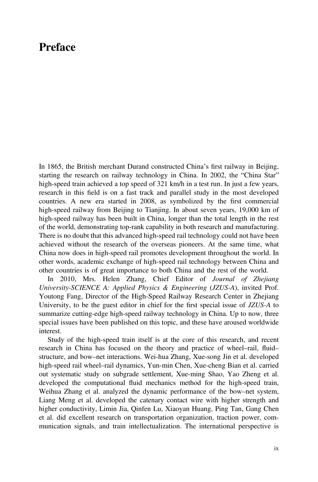### Preface

In 1865, the British merchant Durand constructed China's first railway in Beijing, starting the research on railway technology in China. In 2002, the "China Star" high-speed train achieved a top speed of 321 km/h in a test run. In just a few years, research in this field is on a fast track and parallel study in the most developed countries. A new era started in 2008, as symbolized by the first commercial high-speed railway from Beijing to Tianjing. In about seven years, 19,000 km of high-speed railway has been built in China, longer than the total length in the rest of the world, demonstrating top-rank capability in both research and manufacturing. There is no doubt that this advanced high-speed rail technology could not have been achieved without the research of the overseas pioneers. At the same time, what China now does in high-speed rail promotes development throughout the world. In other words, academic exchange of high-speed rail technology between China and other countries is of great importance to both China and the rest of the world.

In 2010, Mrs. Helen Zhang, Chief Editor of Journal of Zhejiang University-SCIENCE A: Applied Physics & Engineering (JZUS-A), invited Prof. Youtong Fang, Director of the High-Speed Railway Research Center in Zhejiang University, to be the guest editor in chief for the first special issue of JZUS-A to summarize cutting-edge high-speed railway technology in China. Up to now, three special issues have been published on this topic, and these have aroused worldwide interest.

Study of the high-speed train itself is at the core of this research, and recent research in China has focused on the theory and practice of wheel–rail, fluid– structure, and bow–net interactions. Wei-hua Zhang, Xue-song Jin et al. developed high-speed rail wheel–rail dynamics, Yun-min Chen, Xue-cheng Bian et al. carried out systematic study on subgrade settlement, Xue-ming Shao, Yao Zheng et al. developed the computational fluid mechanics method for the high-speed train, Weihua Zhang et al. analyzed the dynamic performance of the bow–net system, Liang Meng et al. developed the catenary contact wire with higher strength and higher conductivity, Limin Jia, Qinfen Lu, Xiaoyan Huang, Ping Tan, Gang Chen et al. did excellent research on transportation organization, traction power, communication signals, and train intellectualization. The international perspective is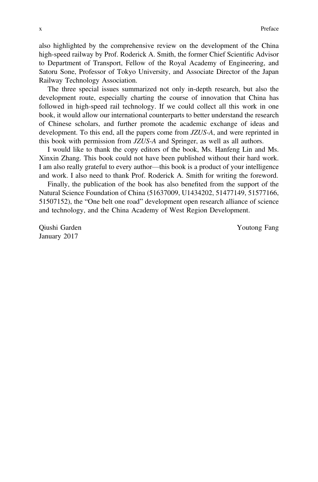also highlighted by the comprehensive review on the development of the China high-speed railway by Prof. Roderick A. Smith, the former Chief Scientific Advisor to Department of Transport, Fellow of the Royal Academy of Engineering, and Satoru Sone, Professor of Tokyo University, and Associate Director of the Japan Railway Technology Association.

The three special issues summarized not only in-depth research, but also the development route, especially charting the course of innovation that China has followed in high-speed rail technology. If we could collect all this work in one book, it would allow our international counterparts to better understand the research of Chinese scholars, and further promote the academic exchange of ideas and development. To this end, all the papers come from JZUS-A, and were reprinted in this book with permission from JZUS-A and Springer, as well as all authors.

I would like to thank the copy editors of the book, Ms. Hanfeng Lin and Ms. Xinxin Zhang. This book could not have been published without their hard work. I am also really grateful to every author—this book is a product of your intelligence and work. I also need to thank Prof. Roderick A. Smith for writing the foreword.

Finally, the publication of the book has also benefited from the support of the Natural Science Foundation of China (51637009, U1434202, 51477149, 51577166, 51507152), the "One belt one road" development open research alliance of science and technology, and the China Academy of West Region Development.

January 2017

Qiushi Garden Youtong Fang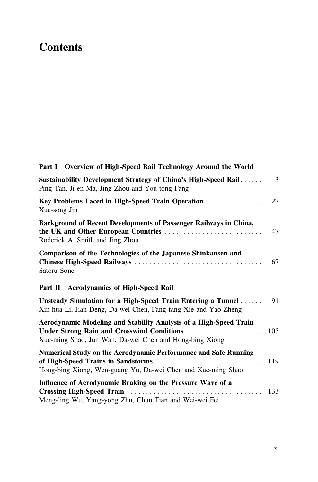# **Contents**

| Part I Overview of High-Speed Rail Technology Around the World                                                                                                             |     |
|----------------------------------------------------------------------------------------------------------------------------------------------------------------------------|-----|
| Sustainability Development Strategy of China's High-Speed Rail<br>Ping Tan, Ji-en Ma, Jing Zhou and You-tong Fang                                                          | 3   |
| Key Problems Faced in High-Speed Train Operation<br>Xue-song Jin                                                                                                           | 27  |
| Background of Recent Developments of Passenger Railways in China,<br>the UK and Other European Countries<br>Roderick A. Smith and Jing Zhou                                | 47  |
| Comparison of the Technologies of the Japanese Shinkansen and<br>Satoru Sone                                                                                               | 67  |
| Part II Aerodynamics of High-Speed Rail                                                                                                                                    |     |
| Unsteady Simulation for a High-Speed Train Entering a Tunnel<br>Xin-hua Li, Jian Deng, Da-wei Chen, Fang-fang Xie and Yao Zheng                                            | 91  |
| Aerodynamic Modeling and Stability Analysis of a High-Speed Train<br>Under Strong Rain and Crosswind Conditions<br>Xue-ming Shao, Jun Wan, Da-wei Chen and Hong-bing Xiong | 105 |
| <b>Numerical Study on the Aerodynamic Performance and Safe Running</b><br>Hong-bing Xiong, Wen-guang Yu, Da-wei Chen and Xue-ming Shao                                     | 119 |
| Influence of Aerodynamic Braking on the Pressure Wave of a<br>Meng-ling Wu, Yang-yong Zhu, Chun Tian and Wei-wei Fei                                                       | 133 |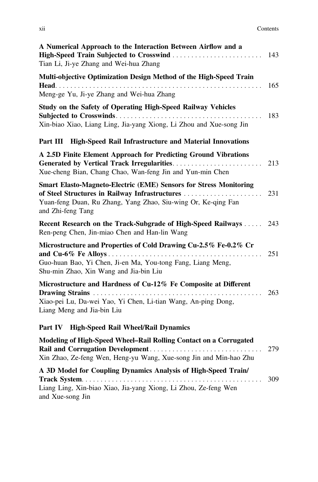| $\cdot$ .<br><b>X11</b> | Contents |
|-------------------------|----------|
|                         | .        |

| A Numerical Approach to the Interaction Between Airflow and a<br>High-Speed Train Subjected to Crosswind                                                                                                                | 143 |
|-------------------------------------------------------------------------------------------------------------------------------------------------------------------------------------------------------------------------|-----|
| Tian Li, Ji-ye Zhang and Wei-hua Zhang                                                                                                                                                                                  |     |
| Multi-objective Optimization Design Method of the High-Speed Train                                                                                                                                                      | 165 |
| Meng-ge Yu, Ji-ye Zhang and Wei-hua Zhang<br>Study on the Safety of Operating High-Speed Railway Vehicles<br>Subjected to Crosswinds<br>$\ldots$<br>Xin-biao Xiao, Liang Ling, Jia-yang Xiong, Li Zhou and Xue-song Jin | 183 |
| Part III High-Speed Rail Infrastructure and Material Innovations                                                                                                                                                        |     |
| A 2.5D Finite Element Approach for Predicting Ground Vibrations<br>Xue-cheng Bian, Chang Chao, Wan-feng Jin and Yun-min Chen                                                                                            | 213 |
| <b>Smart Elasto-Magneto-Electric (EME) Sensors for Stress Monitoring</b><br>of Steel Structures in Railway Infrastructures<br>Yuan-feng Duan, Ru Zhang, Yang Zhao, Siu-wing Or, Ke-qing Fan<br>and Zhi-feng Tang        | 231 |
| Recent Research on the Track-Subgrade of High-Speed Railways<br>Ren-peng Chen, Jin-miao Chen and Han-lin Wang                                                                                                           | 243 |
| Microstructure and Properties of Cold Drawing Cu-2.5% Fe-0.2% Cr<br>Guo-huan Bao, Yi Chen, Ji-en Ma, You-tong Fang, Liang Meng,<br>Shu-min Zhao, Xin Wang and Jia-bin Liu                                               | 251 |
| Microstructure and Hardness of Cu-12% Fe Composite at Different                                                                                                                                                         |     |
| Xiao-pei Lu, Da-wei Yao, Yi Chen, Li-tian Wang, An-ping Dong,<br>Liang Meng and Jia-bin Liu                                                                                                                             | 263 |
| High-Speed Rail Wheel/Rail Dynamics<br>Part IV                                                                                                                                                                          |     |
| Modeling of High-Speed Wheel-Rail Rolling Contact on a Corrugated<br>Xin Zhao, Ze-feng Wen, Heng-yu Wang, Xue-song Jin and Min-hao Zhu                                                                                  | 279 |
| A 3D Model for Coupling Dynamics Analysis of High-Speed Train/<br>Liang Ling, Xin-biao Xiao, Jia-yang Xiong, Li Zhou, Ze-feng Wen                                                                                       | 309 |
| and Xue-song Jin                                                                                                                                                                                                        |     |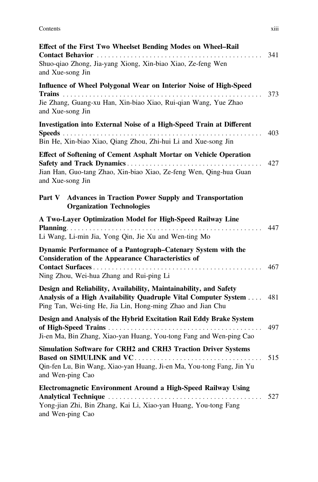| Effect of the First Two Wheelset Bending Modes on Wheel-Rail<br>Shuo-qiao Zhong, Jia-yang Xiong, Xin-biao Xiao, Ze-feng Wen<br>and Xue-song Jin                                                     | 341 |
|-----------------------------------------------------------------------------------------------------------------------------------------------------------------------------------------------------|-----|
| <b>Influence of Wheel Polygonal Wear on Interior Noise of High-Speed</b><br>Jie Zhang, Guang-xu Han, Xin-biao Xiao, Rui-qian Wang, Yue Zhao<br>and Xue-song Jin                                     | 373 |
| Investigation into External Noise of a High-Speed Train at Different<br>Bin He, Xin-biao Xiao, Qiang Zhou, Zhi-hui Li and Xue-song Jin                                                              | 403 |
| Effect of Softening of Cement Asphalt Mortar on Vehicle Operation<br>Jian Han, Guo-tang Zhao, Xin-biao Xiao, Ze-feng Wen, Qing-hua Guan<br>and Xue-song Jin                                         | 427 |
| <b>Advances in Traction Power Supply and Transportation</b><br>Part V<br><b>Organization Technologies</b>                                                                                           |     |
| A Two-Layer Optimization Model for High-Speed Railway Line<br>Li Wang, Li-min Jia, Yong Qin, Jie Xu and Wen-ting Mo                                                                                 | 447 |
| Dynamic Performance of a Pantograph-Catenary System with the<br><b>Consideration of the Appearance Characteristics of</b><br>Contact Surfaces<br>Ning Zhou, Wei-hua Zhang and Rui-ping Li           | 467 |
| Design and Reliability, Availability, Maintainability, and Safety<br>Analysis of a High Availability Quadruple Vital Computer System<br>Ping Tan, Wei-ting He, Jia Lin, Hong-ming Zhao and Jian Chu | 481 |
| Design and Analysis of the Hybrid Excitation Rail Eddy Brake System<br>Ji-en Ma, Bin Zhang, Xiao-yan Huang, You-tong Fang and Wen-ping Cao                                                          | 497 |
| <b>Simulation Software for CRH2 and CRH3 Traction Driver Systems</b><br>Based on SIMULINK and VC<br>Qin-fen Lu, Bin Wang, Xiao-yan Huang, Ji-en Ma, You-tong Fang, Jin Yu<br>and Wen-ping Cao       | 515 |
| Electromagnetic Environment Around a High-Speed Railway Using<br>Yong-jian Zhi, Bin Zhang, Kai Li, Xiao-yan Huang, You-tong Fang<br>and Wen-ping Cao                                                | 527 |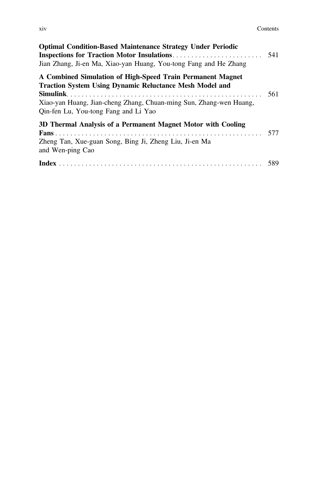| <b>Optimal Condition-Based Maintenance Strategy Under Periodic</b>                                                                         |     |  |
|--------------------------------------------------------------------------------------------------------------------------------------------|-----|--|
| <b>Inspections for Traction Motor Insulations</b><br>Jian Zhang, Ji-en Ma, Xiao-yan Huang, You-tong Fang and He Zhang                      | 541 |  |
| A Combined Simulation of High-Speed Train Permanent Magnet<br><b>Traction System Using Dynamic Reluctance Mesh Model and</b>               |     |  |
| Xiao-yan Huang, Jian-cheng Zhang, Chuan-ming Sun, Zhang-wen Huang,<br>Qin-fen Lu, You-tong Fang and Li Yao                                 |     |  |
| 3D Thermal Analysis of a Permanent Magnet Motor with Cooling<br>Zheng Tan, Xue-guan Song, Bing Ji, Zheng Liu, Ji-en Ma<br>and Wen-ping Cao |     |  |
|                                                                                                                                            |     |  |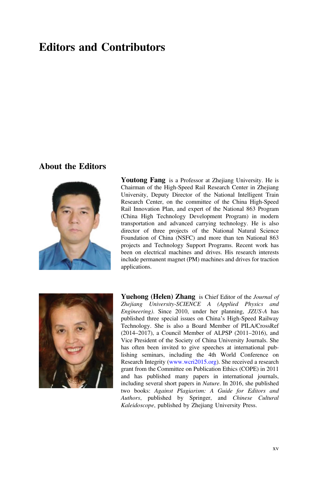## Editors and Contributors

#### About the Editors



Youtong Fang is a Professor at Zhejiang University. He is Chairman of the High-Speed Rail Research Center in Zhejiang University, Deputy Director of the National Intelligent Train Research Center, on the committee of the China High-Speed Rail Innovation Plan, and expert of the National 863 Program (China High Technology Development Program) in modern transportation and advanced carrying technology. He is also director of three projects of the National Natural Science Foundation of China (NSFC) and more than ten National 863 projects and Technology Support Programs. Recent work has been on electrical machines and drives. His research interests include permanent magnet (PM) machines and drives for traction applications.



**Yuehong (Helen) Zhang** is Chief Editor of the *Journal of* Zhejiang University-SCIENCE A (Applied Physics and Engineering). Since 2010, under her planning, JZUS-A has published three special issues on China's High-Speed Railway Technology. She is also a Board Member of PILA/CrossRef (2014–2017), a Council Member of ALPSP (2011–2016), and Vice President of the Society of China University Journals. She has often been invited to give speeches at international publishing seminars, including the 4th World Conference on Research Integrity (www.wcri2015.org). She received a research grant from the Committee on Publication Ethics (COPE) in 2011 and has published many papers in international journals, including several short papers in Nature. In 2016, she published two books: Against Plagiarism: A Guide for Editors and Authors, published by Springer, and Chinese Cultural Kaleidoscope, published by Zhejiang University Press.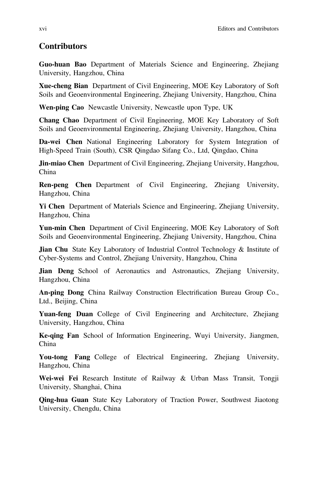#### **Contributors**

Guo-huan Bao Department of Materials Science and Engineering, Zhejiang University, Hangzhou, China

Xue-cheng Bian Department of Civil Engineering, MOE Key Laboratory of Soft Soils and Geoenvironmental Engineering, Zhejiang University, Hangzhou, China

Wen-ping Cao Newcastle University, Newcastle upon Type, UK

Chang Chao Department of Civil Engineering, MOE Key Laboratory of Soft Soils and Geoenvironmental Engineering, Zhejiang University, Hangzhou, China

Da-wei Chen National Engineering Laboratory for System Integration of High-Speed Train (South), CSR Qingdao Sifang Co., Ltd, Qingdao, China

Jin-miao Chen Department of Civil Engineering, Zhejiang University, Hangzhou, China

Ren-peng Chen Department of Civil Engineering, Zhejiang University, Hangzhou, China

Yi Chen Department of Materials Science and Engineering, Zhejiang University, Hangzhou, China

Yun-min Chen Department of Civil Engineering, MOE Key Laboratory of Soft Soils and Geoenvironmental Engineering, Zhejiang University, Hangzhou, China

Jian Chu State Key Laboratory of Industrial Control Technology & Institute of Cyber-Systems and Control, Zhejiang University, Hangzhou, China

Jian Deng School of Aeronautics and Astronautics, Zhejiang University, Hangzhou, China

An-ping Dong China Railway Construction Electrification Bureau Group Co., Ltd., Beijing, China

Yuan-feng Duan College of Civil Engineering and Architecture, Zhejiang University, Hangzhou, China

Ke-qing Fan School of Information Engineering, Wuyi University, Jiangmen, China

You-tong Fang College of Electrical Engineering, Zhejiang University, Hangzhou, China

Wei-wei Fei Research Institute of Railway & Urban Mass Transit, Tongji University, Shanghai, China

Qing-hua Guan State Key Laboratory of Traction Power, Southwest Jiaotong University, Chengdu, China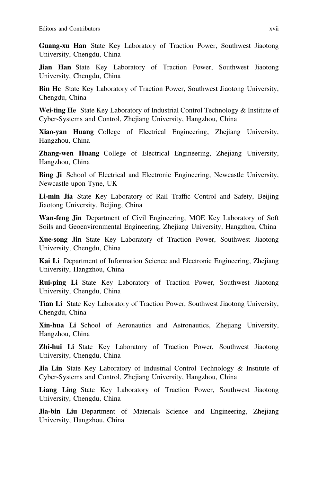Guang-xu Han State Key Laboratory of Traction Power, Southwest Jiaotong University, Chengdu, China

Jian Han State Key Laboratory of Traction Power, Southwest Jiaotong University, Chengdu, China

Bin He State Key Laboratory of Traction Power, Southwest Jiaotong University, Chengdu, China

Wei-ting He State Key Laboratory of Industrial Control Technology & Institute of Cyber-Systems and Control, Zhejiang University, Hangzhou, China

Xiao-yan Huang College of Electrical Engineering, Zhejiang University, Hangzhou, China

Zhang-wen Huang College of Electrical Engineering, Zhejiang University, Hangzhou, China

Bing Ji School of Electrical and Electronic Engineering, Newcastle University, Newcastle upon Tyne, UK

Li-min Jia State Key Laboratory of Rail Traffic Control and Safety, Beijing Jiaotong University, Beijing, China

Wan-feng Jin Department of Civil Engineering, MOE Key Laboratory of Soft Soils and Geoenvironmental Engineering, Zhejiang University, Hangzhou, China

Xue-song Jin State Key Laboratory of Traction Power, Southwest Jiaotong University, Chengdu, China

Kai Li Department of Information Science and Electronic Engineering, Zhejiang University, Hangzhou, China

Rui-ping Li State Key Laboratory of Traction Power, Southwest Jiaotong University, Chengdu, China

Tian Li State Key Laboratory of Traction Power, Southwest Jiaotong University, Chengdu, China

Xin-hua Li School of Aeronautics and Astronautics, Zhejiang University, Hangzhou, China

Zhi-hui Li State Key Laboratory of Traction Power, Southwest Jiaotong University, Chengdu, China

Jia Lin State Key Laboratory of Industrial Control Technology & Institute of Cyber-Systems and Control, Zhejiang University, Hangzhou, China

Liang Ling State Key Laboratory of Traction Power, Southwest Jiaotong University, Chengdu, China

Jia-bin Liu Department of Materials Science and Engineering, Zhejiang University, Hangzhou, China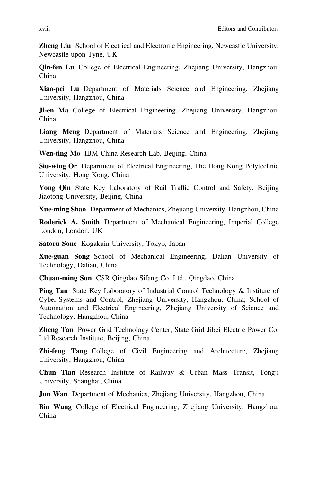Zheng Liu School of Electrical and Electronic Engineering, Newcastle University, Newcastle upon Tyne, UK

Qin-fen Lu College of Electrical Engineering, Zhejiang University, Hangzhou, China

Xiao-pei Lu Department of Materials Science and Engineering, Zhejiang University, Hangzhou, China

Ji-en Ma College of Electrical Engineering, Zhejiang University, Hangzhou, China

Liang Meng Department of Materials Science and Engineering, Zhejiang University, Hangzhou, China

Wen-ting Mo IBM China Research Lab, Beijing, China

Siu-wing Or Department of Electrical Engineering, The Hong Kong Polytechnic University, Hong Kong, China

Yong Qin State Key Laboratory of Rail Traffic Control and Safety, Beijing Jiaotong University, Beijing, China

Xue-ming Shao Department of Mechanics, Zhejiang University, Hangzhou, China

Roderick A. Smith Department of Mechanical Engineering, Imperial College London, London, UK

Satoru Sone Kogakuin University, Tokyo, Japan

Xue-guan Song School of Mechanical Engineering, Dalian University of Technology, Dalian, China

Chuan-ming Sun CSR Qingdao Sifang Co. Ltd., Qingdao, China

Ping Tan State Key Laboratory of Industrial Control Technology & Institute of Cyber-Systems and Control, Zhejiang University, Hangzhou, China; School of Automation and Electrical Engineering, Zhejiang University of Science and Technology, Hangzhou, China

Zheng Tan Power Grid Technology Center, State Grid Jibei Electric Power Co. Ltd Research Institute, Beijing, China

Zhi-feng Tang College of Civil Engineering and Architecture, Zhejiang University, Hangzhou, China

Chun Tian Research Institute of Railway & Urban Mass Transit, Tongji University, Shanghai, China

Jun Wan Department of Mechanics, Zhejiang University, Hangzhou, China

Bin Wang College of Electrical Engineering, Zhejiang University, Hangzhou, China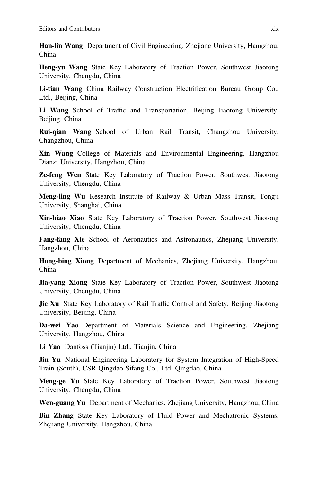Han-lin Wang Department of Civil Engineering, Zhejiang University, Hangzhou, China

Heng-yu Wang State Key Laboratory of Traction Power, Southwest Jiaotong University, Chengdu, China

Li-tian Wang China Railway Construction Electrification Bureau Group Co., Ltd., Beijing, China

Li Wang School of Traffic and Transportation, Beijing Jiaotong University, Beijing, China

Rui-qian Wang School of Urban Rail Transit, Changzhou University, Changzhou, China

Xin Wang College of Materials and Environmental Engineering, Hangzhou Dianzi University, Hangzhou, China

Ze-feng Wen State Key Laboratory of Traction Power, Southwest Jiaotong University, Chengdu, China

Meng-ling Wu Research Institute of Railway & Urban Mass Transit, Tongji University, Shanghai, China

Xin-biao Xiao State Key Laboratory of Traction Power, Southwest Jiaotong University, Chengdu, China

Fang-fang Xie School of Aeronautics and Astronautics, Zhejiang University, Hangzhou, China

Hong-bing Xiong Department of Mechanics, Zhejiang University, Hangzhou, China

Jia-yang Xiong State Key Laboratory of Traction Power, Southwest Jiaotong University, Chengdu, China

Jie Xu State Key Laboratory of Rail Traffic Control and Safety, Beijing Jiaotong University, Beijing, China

Da-wei Yao Department of Materials Science and Engineering, Zhejiang University, Hangzhou, China

Li Yao Danfoss (Tianjin) Ltd., Tianjin, China

Jin Yu National Engineering Laboratory for System Integration of High-Speed Train (South), CSR Qingdao Sifang Co., Ltd, Qingdao, China

Meng-ge Yu State Key Laboratory of Traction Power, Southwest Jiaotong University, Chengdu, China

Wen-guang Yu Department of Mechanics, Zhejiang University, Hangzhou, China

Bin Zhang State Key Laboratory of Fluid Power and Mechatronic Systems, Zhejiang University, Hangzhou, China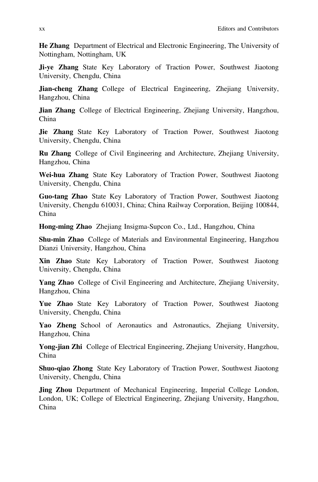He Zhang Department of Electrical and Electronic Engineering, The University of Nottingham, Nottingham, UK

Ji-ye Zhang State Key Laboratory of Traction Power, Southwest Jiaotong University, Chengdu, China

Jian-cheng Zhang College of Electrical Engineering, Zhejiang University, Hangzhou, China

Jian Zhang College of Electrical Engineering, Zhejiang University, Hangzhou, China

Jie Zhang State Key Laboratory of Traction Power, Southwest Jiaotong University, Chengdu, China

Ru Zhang College of Civil Engineering and Architecture, Zhejiang University, Hangzhou, China

Wei-hua Zhang State Key Laboratory of Traction Power, Southwest Jiaotong University, Chengdu, China

Guo-tang Zhao State Key Laboratory of Traction Power, Southwest Jiaotong University, Chengdu 610031, China; China Railway Corporation, Beijing 100844, China

Hong-ming Zhao Zhejiang Insigma-Supcon Co., Ltd., Hangzhou, China

Shu-min Zhao College of Materials and Environmental Engineering, Hangzhou Dianzi University, Hangzhou, China

Xin Zhao State Key Laboratory of Traction Power, Southwest Jiaotong University, Chengdu, China

Yang Zhao College of Civil Engineering and Architecture, Zhejiang University, Hangzhou, China

Yue Zhao State Key Laboratory of Traction Power, Southwest Jiaotong University, Chengdu, China

Yao Zheng School of Aeronautics and Astronautics, Zhejiang University, Hangzhou, China

Yong-jian Zhi College of Electrical Engineering, Zhejiang University, Hangzhou, China

Shuo-qiao Zhong State Key Laboratory of Traction Power, Southwest Jiaotong University, Chengdu, China

Jing Zhou Department of Mechanical Engineering, Imperial College London, London, UK; College of Electrical Engineering, Zhejiang University, Hangzhou, China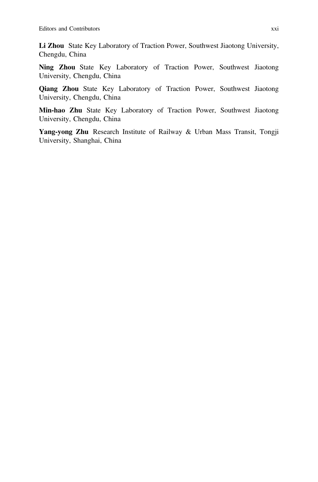Li Zhou State Key Laboratory of Traction Power, Southwest Jiaotong University, Chengdu, China

Ning Zhou State Key Laboratory of Traction Power, Southwest Jiaotong University, Chengdu, China

Qiang Zhou State Key Laboratory of Traction Power, Southwest Jiaotong University, Chengdu, China

Min-hao Zhu State Key Laboratory of Traction Power, Southwest Jiaotong University, Chengdu, China

Yang-yong Zhu Research Institute of Railway & Urban Mass Transit, Tongji University, Shanghai, China